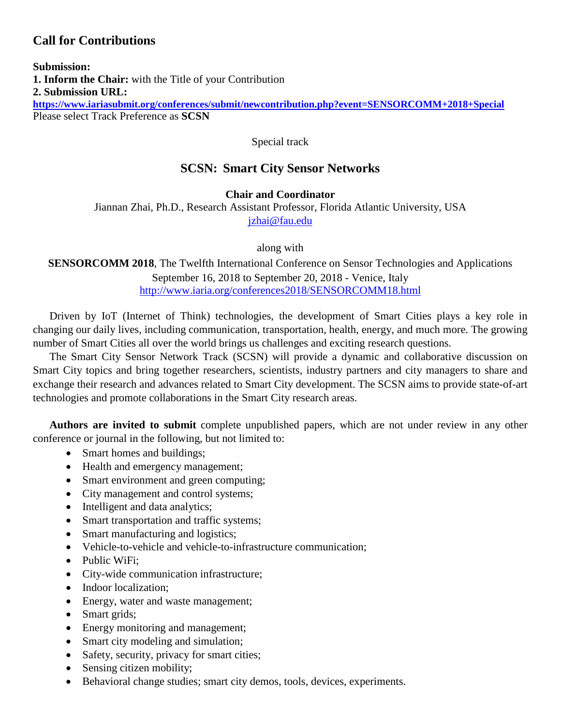# **Call for Contributions**

**Submission: 1. Inform the Chair:** with the Title of your Contribution **2. Submission URL: <https://www.iariasubmit.org/conferences/submit/newcontribution.php?event=SENSORCOMM+2018+Special>** Please select Track Preference as **SCSN**

Special track

# **SCSN: Smart City Sensor Networks**

## **Chair and Coordinator**

Jiannan Zhai, Ph.D., Research Assistant Professor, Florida Atlantic University, USA [jzhai@fau.edu](mailto:jzhai@fau.edu)

along with

**SENSORCOMM 2018**, The Twelfth International Conference on Sensor Technologies and Applications September 16, 2018 to September 20, 2018 - Venice, Italy <http://www.iaria.org/conferences2018/SENSORCOMM18.html>

Driven by IoT (Internet of Think) technologies, the development of Smart Cities plays a key role in changing our daily lives, including communication, transportation, health, energy, and much more. The growing number of Smart Cities all over the world brings us challenges and exciting research questions.

The Smart City Sensor Network Track (SCSN) will provide a dynamic and collaborative discussion on Smart City topics and bring together researchers, scientists, industry partners and city managers to share and exchange their research and advances related to Smart City development. The SCSN aims to provide state-of-art technologies and promote collaborations in the Smart City research areas.

**Authors are invited to submit** complete unpublished papers, which are not under review in any other conference or journal in the following, but not limited to:

- Smart homes and buildings;
- Health and emergency management;
- Smart environment and green computing;
- City management and control systems;
- Intelligent and data analytics;
- Smart transportation and traffic systems;
- Smart manufacturing and logistics;
- Vehicle-to-vehicle and vehicle-to-infrastructure communication;
- Public WiFi:
- City-wide communication infrastructure;
- Indoor localization:
- Energy, water and waste management;
- Smart grids;
- Energy monitoring and management;
- Smart city modeling and simulation;
- Safety, security, privacy for smart cities;
- Sensing citizen mobility;
- Behavioral change studies; smart city demos, tools, devices, experiments.